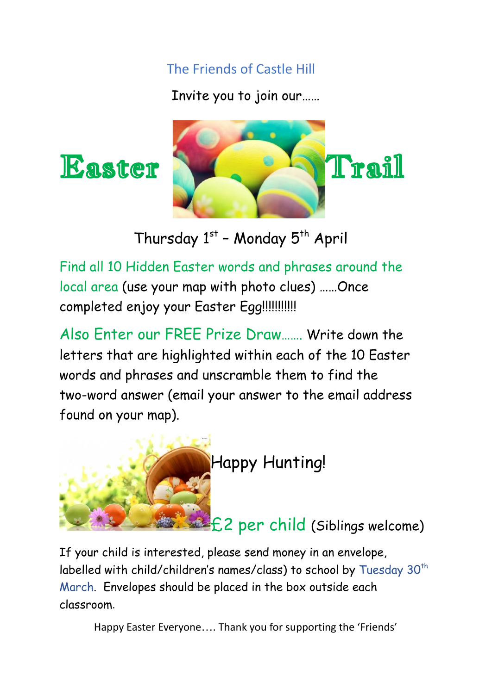The Friends of Castle Hill

Invite you to join our……



Thursday 1st - Monday 5<sup>th</sup> April

Find all 10 Hidden Easter words and phrases around the local area (use your map with photo clues) ……Once completed enjoy your Easter Egg!!!!!!!!!!!

Also Enter our FREE Prize Draw……. Write down the letters that are highlighted within each of the 10 Easter words and phrases and unscramble them to find the two-word answer (email your answer to the email address found on your map).



If your child is interested, please send money in an envelope, labelled with child/children's names/class) to school by Tuesday  $30^{\text{th}}$ March. Envelopes should be placed in the box outside each classroom.

Happy Easter Everyone…. Thank you for supporting the 'Friends'